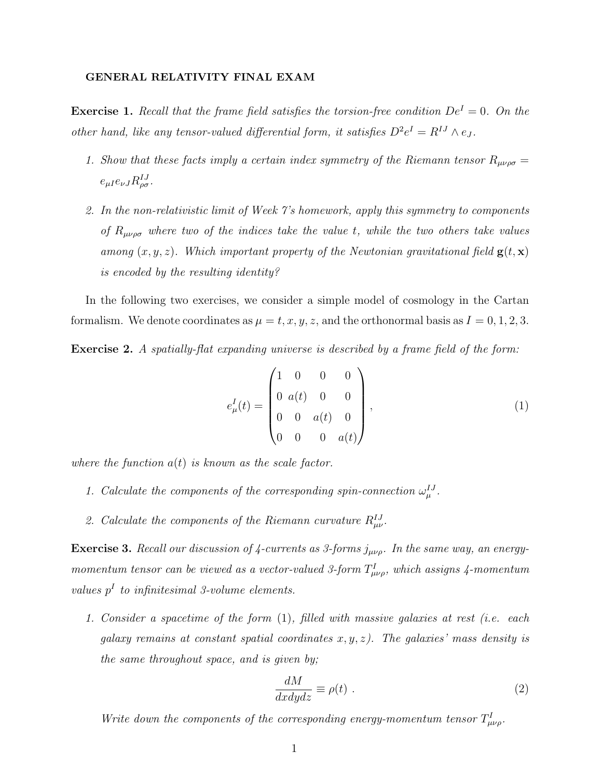## GENERAL RELATIVITY FINAL EXAM

**Exercise 1.** Recall that the frame field satisfies the torsion-free condition  $De^{I} = 0$ . On the other hand, like any tensor-valued differential form, it satisfies  $D^2e^I = R^{IJ} \wedge e_J$ .

- 1. Show that these facts imply a certain index symmetry of the Riemann tensor  $R_{\mu\nu\rho\sigma} =$  $e_{\mu I}e_{\nu J}R^{IJ}_{\rho\sigma}$ .
- 2. In the non-relativistic limit of Week 7's homework, apply this symmetry to components of  $R_{\mu\nu\rho\sigma}$  where two of the indices take the value t, while the two others take values among  $(x, y, z)$ . Which important property of the Newtonian gravitational field  $g(t, x)$ is encoded by the resulting identity?

In the following two exercises, we consider a simple model of cosmology in the Cartan formalism. We denote coordinates as  $\mu = t, x, y, z$ , and the orthonormal basis as  $I = 0, 1, 2, 3$ .

Exercise 2. A spatially-flat expanding universe is described by a frame field of the form:

$$
e_{\mu}^{I}(t) = \begin{pmatrix} 1 & 0 & 0 & 0 \\ 0 & a(t) & 0 & 0 \\ 0 & 0 & a(t) & 0 \\ 0 & 0 & 0 & a(t) \end{pmatrix}, \qquad (1)
$$

where the function  $a(t)$  is known as the scale factor.

- 1. Calculate the components of the corresponding spin-connection  $\omega_{\mu}^{IJ}$ .
- 2. Calculate the components of the Riemann curvature  $R_{\mu\nu}^{IJ}$ .

**Exercise 3.** Recall our discussion of 4-currents as 3-forms  $j_{\mu\nu\rho}$ . In the same way, an energymomentum tensor can be viewed as a vector-valued 3-form  $T_{\mu\nu\rho}^{I}$ , which assigns 4-momentum values  $p<sup>I</sup>$  to infinitesimal 3-volume elements.

1. Consider a spacetime of the form (1), filled with massive galaxies at rest (i.e. each galaxy remains at constant spatial coordinates  $x, y, z$ ). The galaxies' mass density is the same throughout space, and is given by;

$$
\frac{dM}{dxdydz} \equiv \rho(t) \tag{2}
$$

Write down the components of the corresponding energy-momentum tensor  $T_{\mu\nu\rho}^I$ .